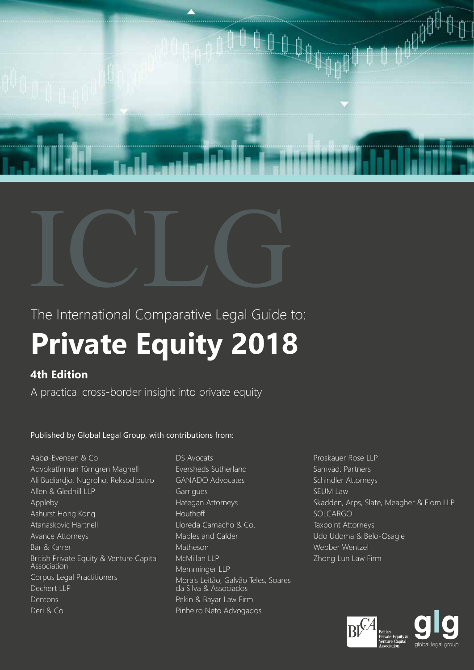

The International Comparative Legal Guide to:

# **Private Equity 2018**

# **4th Edition**

A practical cross-border insight into private equity

# Published by Global Legal Group, with contributions from:

Aabø-Evensen & Co Advokatfirman Törngren Magnell Ali Budiardjo, Nugroho, Reksodiputro Allen & Gledhill LLP Appleby Ashurst Hong Kong Atanaskovic Hartnell Avance Attorneys Bär & Karrer British Private Equity & Venture Capital Association Corpus Legal Practitioners Dechert LLP Dentons Deri & Co.

DS Avocats Eversheds Sutherland GANADO Advocates **Garrigues** Hategan Attorneys Houthoff Lloreda Camacho & Co. Maples and Calder Matheson McMillan LLP Memminger LLP Morais Leitão, Galvão Teles, Soares da Silva & Associados Pekin & Bayar Law Firm Pinheiro Neto Advogados

Proskauer Rose LLP Samvād: Partners Schindler Attorneys SEUM Law Skadden, Arps, Slate, Meagher & Flom LLP SOLCARGO Taxpoint Attorneys Udo Udoma & Belo-Osagie Webber Wentzel Zhong Lun Law Firm

神

╟╁╂╣



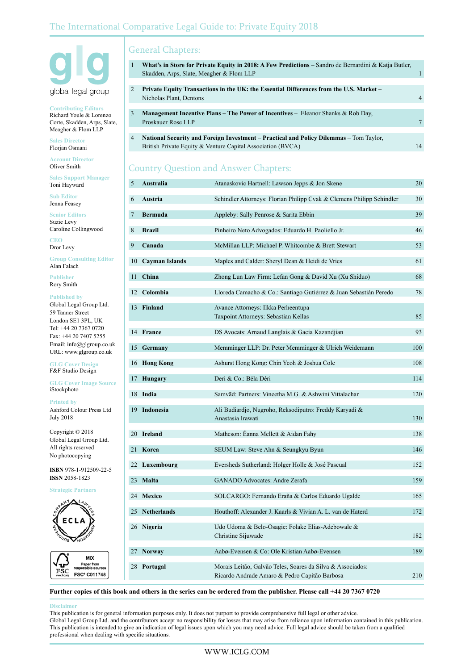

**Contributing Editors** Richard Youle & Lorenzo Corte, Skadden, Arps, Slate, Meagher & Flom LLP

**Sales Director** Florjan Osmani

**Account Director** Oliver Smith

|              | <b>Sales Support Manager</b> |
|--------------|------------------------------|
| Toni Hayward |                              |

**Sub Editor** Jenna Feasey

**Senior Editors** Suzie Levy Caroline Collingwood

**CEO** Dror Levy

**Group Consulting Editor** Alan Falach

**Publisher** Rory Smith

#### **Published by** Global Legal Group Ltd. 59 Tanner Street London SE1 3PL, UK Tel: +44 20 7367 0720 Fax: +44 20 7407 5255 Email: info@glgroup.co.uk URL: www.glgroup.co.uk

**GLG Cover Design** F&F Studio Design

#### **GLG Cover Image Source** iStockphoto

**Printed by** Ashford Colour Press Ltd July 2018

Copyright © 2018 Global Legal Group Ltd. All rights reserved No photocopying

**ISBN** 978-1-912509-22-5 **ISSN** 2058-1823

**Strategic Partners**



MIX Paper from<br>ponsible sou

FSC® C011748

# General Chapters:

| 1 | <b>What's in Store for Private Equity in 2018: A Few Predictions</b> – Sandro de Bernardini & Katja Butler,                                                  |                |
|---|--------------------------------------------------------------------------------------------------------------------------------------------------------------|----------------|
|   | Skadden, Arps, Slate, Meagher & Flom LLP                                                                                                                     |                |
|   |                                                                                                                                                              |                |
| 2 | Private Equity Transactions in the UK: the Essential Differences from the U.S. Market –<br>Nicholas Plant, Dentons                                           | $\overline{4}$ |
|   |                                                                                                                                                              |                |
| 3 | <b>Management Incentive Plans – The Power of Incentives –</b> Eleanor Shanks & Rob Day,<br>Proskauer Rose LLP                                                | 7              |
|   |                                                                                                                                                              |                |
| 4 | <b>National Security and Foreign Investment – Practical and Policy Dilemmas – Tom Taylor,</b><br>British Private Equity & Venture Capital Association (BVCA) | 14             |
|   |                                                                                                                                                              |                |

# Country Question and Answer Chapters:

| 5  | Australia         | Atanaskovic Hartnell: Lawson Jepps & Jon Skene                                                              | 20  |
|----|-------------------|-------------------------------------------------------------------------------------------------------------|-----|
| 6  | Austria           | Schindler Attorneys: Florian Philipp Cvak & Clemens Philipp Schindler                                       | 30  |
| 7  | <b>Bermuda</b>    | Appleby: Sally Penrose & Sarita Ebbin                                                                       | 39  |
| 8  | <b>Brazil</b>     | Pinheiro Neto Advogados: Eduardo H. Paoliello Jr.                                                           | 46  |
| 9  | Canada            | McMillan LLP: Michael P. Whitcombe & Brett Stewart                                                          | 53  |
|    | 10 Cayman Islands | Maples and Calder: Sheryl Dean & Heidi de Vries                                                             | 61  |
| 11 | China             | Zhong Lun Law Firm: Lefan Gong & David Xu (Xu Shiduo)                                                       | 68  |
|    | 12 Colombia       | Lloreda Camacho & Co.: Santiago Gutiérrez & Juan Sebastián Peredo                                           | 78  |
|    | 13 Finland        | Avance Attorneys: Ilkka Perheentupa<br>Taxpoint Attorneys: Sebastian Kellas                                 | 85  |
|    | 14 France         | DS Avocats: Arnaud Langlais & Gacia Kazandjian                                                              | 93  |
| 15 | Germany           | Memminger LLP: Dr. Peter Memminger & Ulrich Weidemann                                                       | 100 |
|    | 16 Hong Kong      | Ashurst Hong Kong: Chin Yeoh & Joshua Cole                                                                  | 108 |
| 17 | Hungary           | Deri & Co.: Béla Déri                                                                                       | 114 |
|    | 18 India          | Samvād: Partners: Vineetha M.G. & Ashwini Vittalachar                                                       | 120 |
|    | 19 Indonesia      | Ali Budiardjo, Nugroho, Reksodiputro: Freddy Karyadi &<br>Anastasia Irawati                                 | 130 |
|    | 20 Ireland        | Matheson: Eanna Mellett & Aidan Fahy                                                                        | 138 |
| 21 | Korea             | SEUM Law: Steve Ahn & Seungkyu Byun                                                                         | 146 |
|    | 22 Luxembourg     | Eversheds Sutherland: Holger Holle & José Pascual                                                           | 152 |
| 23 | <b>Malta</b>      | <b>GANADO Advocates: Andre Zerafa</b>                                                                       | 159 |
|    | 24 Mexico         | SOLCARGO: Fernando Eraña & Carlos Eduardo Ugalde                                                            | 165 |
|    | 25 Netherlands    | Houthoff: Alexander J. Kaarls & Vivian A. L. van de Haterd                                                  | 172 |
|    | 26 Nigeria        | Udo Udoma & Belo-Osagie: Folake Elias-Adebowale &<br>Christine Sijuwade                                     | 182 |
|    | 27 Norway         | Aabø-Evensen & Co: Ole Kristian Aabø-Evensen                                                                | 189 |
| 28 | Portugal          | Morais Leitão, Galvão Teles, Soares da Silva & Associados:<br>Ricardo Andrade Amaro & Pedro Capitão Barbosa | 210 |

**Further copies of this book and others in the series can be ordered from the publisher. Please call +44 20 7367 0720**

#### **Disclaimer**

**FSC** 

This publication is for general information purposes only. It does not purport to provide comprehensive full legal or other advice. Global Legal Group Ltd. and the contributors accept no responsibility for losses that may arise from reliance upon information contained in this publication. This publication is intended to give an indication of legal issues upon which you may need advice. Full legal advice should be taken from a qualified professional when dealing with specific situations.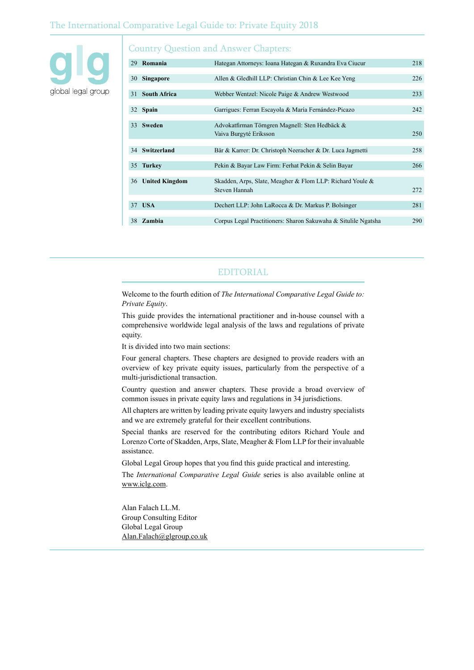## The International Comparative Legal Guide to: Private Equity 2018



## Country Question and Answer Chapters:

| 29 Romania        | Hategan Attorneys: Ioana Hategan & Ruxandra Eva Ciucur                     | 218 |
|-------------------|----------------------------------------------------------------------------|-----|
| 30 Singapore      | Allen & Gledhill LLP: Christian Chin & Lee Kee Yeng                        | 226 |
| 31 South Africa   | Webber Wentzel: Nicole Paige & Andrew Westwood                             | 233 |
| 32 Spain          | Garrigues: Ferran Escayola & María Fernández-Picazo                        | 242 |
| 33 Sweden         | Advokatfirman Törngren Magnell: Sten Hedbäck &<br>Vaiva Burgyté Eriksson   | 250 |
| 34 Switzerland    | Bär & Karrer: Dr. Christoph Neeracher & Dr. Luca Jagmetti                  | 258 |
| 35 Turkey         | Pekin & Bayar Law Firm: Ferhat Pekin & Selin Bayar                         | 266 |
| 36 United Kingdom | Skadden, Arps, Slate, Meagher & Flom LLP: Richard Youle &<br>Steven Hannah | 272 |
| 37 USA            | Dechert LLP: John LaRocca & Dr. Markus P. Bolsinger                        | 281 |
| 38 Zambia         | Corpus Legal Practitioners: Sharon Sakuwaha & Situlile Ngatsha             | 290 |

## EDITORIAL

Welcome to the fourth edition of *The International Comparative Legal Guide to: Private Equity*.

This guide provides the international practitioner and in-house counsel with a comprehensive worldwide legal analysis of the laws and regulations of private equity.

It is divided into two main sections:

Four general chapters. These chapters are designed to provide readers with an overview of key private equity issues, particularly from the perspective of a multi-jurisdictional transaction.

Country question and answer chapters. These provide a broad overview of common issues in private equity laws and regulations in 34 jurisdictions.

All chapters are written by leading private equity lawyers and industry specialists and we are extremely grateful for their excellent contributions.

Special thanks are reserved for the contributing editors Richard Youle and Lorenzo Corte of Skadden, Arps, Slate, Meagher & Flom LLP for their invaluable assistance.

Global Legal Group hopes that you find this guide practical and interesting.

The *International Comparative Legal Guide* series is also available online at www.iclg.com.

Alan Falach LL.M. Group Consulting Editor Global Legal Group Alan.Falach@glgroup.co.uk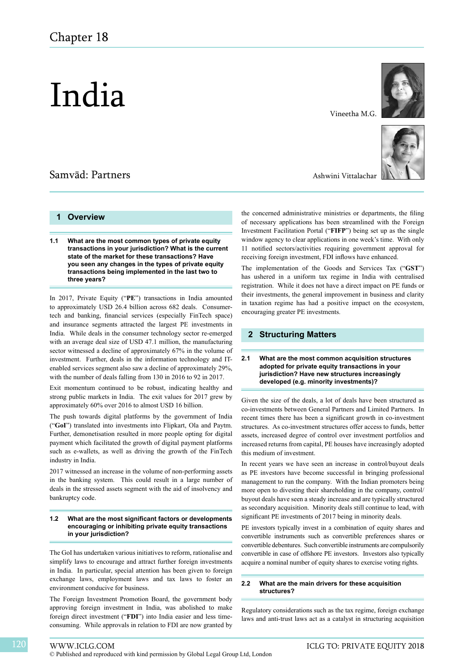# India

# Samvād: Partners

#### **1 Overview**

**1.1 What are the most common types of private equity transactions in your jurisdiction? What is the current state of the market for these transactions? Have you seen any changes in the types of private equity transactions being implemented in the last two to three years?**

In 2017, Private Equity ("**PE**") transactions in India amounted to approximately USD 26.4 billion across 682 deals. Consumertech and banking, financial services (especially FinTech space) and insurance segments attracted the largest PE investments in India. While deals in the consumer technology sector re-emerged with an average deal size of USD 47.1 million, the manufacturing sector witnessed a decline of approximately 67% in the volume of investment. Further, deals in the information technology and ITenabled services segment also saw a decline of approximately 29%, with the number of deals falling from 130 in 2016 to 92 in 2017.

Exit momentum continued to be robust, indicating healthy and strong public markets in India. The exit values for 2017 grew by approximately 60% over 2016 to almost USD 16 billion.

The push towards digital platforms by the government of India ("**GoI**") translated into investments into Flipkart, Ola and Paytm. Further, demonetisation resulted in more people opting for digital payment which facilitated the growth of digital payment platforms such as e-wallets, as well as driving the growth of the FinTech industry in India.

2017 witnessed an increase in the volume of non-performing assets in the banking system. This could result in a large number of deals in the stressed assets segment with the aid of insolvency and bankruptcy code.

#### **1.2 What are the most significant factors or developments encouraging or inhibiting private equity transactions in your jurisdiction?**

The GoI has undertaken various initiatives to reform, rationalise and simplify laws to encourage and attract further foreign investments in India. In particular, special attention has been given to foreign exchange laws, employment laws and tax laws to foster an environment conducive for business.

The Foreign Investment Promotion Board, the government body approving foreign investment in India, was abolished to make foreign direct investment ("**FDI**") into India easier and less timeconsuming. While approvals in relation to FDI are now granted by



Vineetha M.G.



Ashwini Vittalachar

the concerned administrative ministries or departments, the filing of necessary applications has been streamlined with the Foreign Investment Facilitation Portal ("**FIFP**") being set up as the single window agency to clear applications in one week's time. With only 11 notified sectors/activities requiring government approval for receiving foreign investment, FDI inflows have enhanced.

The implementation of the Goods and Services Tax ("**GST**") has ushered in a uniform tax regime in India with centralised registration. While it does not have a direct impact on PE funds or their investments, the general improvement in business and clarity in taxation regime has had a positive impact on the ecosystem, encouraging greater PE investments.

#### **2 Structuring Matters**

#### **2.1 What are the most common acquisition structures adopted for private equity transactions in your jurisdiction? Have new structures increasingly developed (e.g. minority investments)?**

Given the size of the deals, a lot of deals have been structured as co-investments between General Partners and Limited Partners. In recent times there has been a significant growth in co-investment structures. As co-investment structures offer access to funds, better assets, increased degree of control over investment portfolios and increased returns from capital, PE houses have increasingly adopted this medium of investment.

In recent years we have seen an increase in control/buyout deals as PE investors have become successful in bringing professional management to run the company. With the Indian promoters being more open to divesting their shareholding in the company, control/ buyout deals have seen a steady increase and are typically structured as secondary acquisition. Minority deals still continue to lead, with significant PE investments of 2017 being in minority deals.

PE investors typically invest in a combination of equity shares and convertible instruments such as convertible preferences shares or convertible debentures. Such convertible instruments are compulsorily convertible in case of offshore PE investors. Investors also typically acquire a nominal number of equity shares to exercise voting rights.

#### **2.2 What are the main drivers for these acquisition structures?**

Regulatory considerations such as the tax regime, foreign exchange laws and anti-trust laws act as a catalyst in structuring acquisition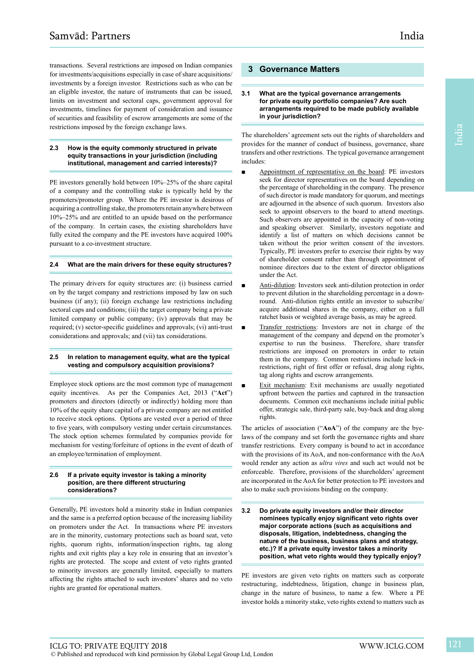transactions. Several restrictions are imposed on Indian companies for investments/acquisitions especially in case of share acquisitions/ investments by a foreign investor. Restrictions such as who can be an eligible investor, the nature of instruments that can be issued, limits on investment and sectoral caps, government approval for investments, timelines for payment of consideration and issuance of securities and feasibility of escrow arrangements are some of the restrictions imposed by the foreign exchange laws.

#### **2.3 How is the equity commonly structured in private equity transactions in your jurisdiction (including institutional, management and carried interests)?**

PE investors generally hold between 10%–25% of the share capital of a company and the controlling stake is typically held by the promoters/promoter group. Where the PE investor is desirous of acquiring a controlling stake, the promoters retain anywhere between 10%–25% and are entitled to an upside based on the performance of the company. In certain cases, the existing shareholders have fully exited the company and the PE investors have acquired 100% pursuant to a co-investment structure.

#### **2.4 What are the main drivers for these equity structures?**

The primary drivers for equity structures are: (i) business carried on by the target company and restrictions imposed by law on such business (if any); (ii) foreign exchange law restrictions including sectoral caps and conditions; (iii) the target company being a private limited company or public company; (iv) approvals that may be required; (v) sector-specific guidelines and approvals; (vi) anti-trust considerations and approvals; and (vii) tax considerations.

#### **2.5 In relation to management equity, what are the typical vesting and compulsory acquisition provisions?**

Employee stock options are the most common type of management equity incentives. As per the Companies Act, 2013 ("**Act**") promoters and directors (directly or indirectly) holding more than 10% of the equity share capital of a private company are not entitled to receive stock options. Options are vested over a period of three to five years, with compulsory vesting under certain circumstances. The stock option schemes formulated by companies provide for mechanism for vesting/forfeiture of options in the event of death of an employee/termination of employment.

#### **2.6 If a private equity investor is taking a minority position, are there different structuring considerations?**

Generally, PE investors hold a minority stake in Indian companies and the same is a preferred option because of the increasing liability on promoters under the Act. In transactions where PE investors are in the minority, customary protections such as board seat, veto rights, quorum rights, information/inspection rights, tag along rights and exit rights play a key role in ensuring that an investor's rights are protected. The scope and extent of veto rights granted to minority investors are generally limited, especially to matters affecting the rights attached to such investors' shares and no veto rights are granted for operational matters.

#### **3 Governance Matters**

#### **3.1 What are the typical governance arrangements for private equity portfolio companies? Are such arrangements required to be made publicly available in your jurisdiction?**

The shareholders' agreement sets out the rights of shareholders and provides for the manner of conduct of business, governance, share transfers and other restrictions. The typical governance arrangement includes:

- Appointment of representative on the board: PE investors seek for director representatives on the board depending on the percentage of shareholding in the company. The presence of such director is made mandatory for quorum, and meetings are adjourned in the absence of such quorum. Investors also seek to appoint observers to the board to attend meetings. Such observers are appointed in the capacity of non-voting and speaking observer. Similarly, investors negotiate and identify a list of matters on which decisions cannot be taken without the prior written consent of the investors. Typically, PE investors prefer to exercise their rights by way of shareholder consent rather than through appointment of nominee directors due to the extent of director obligations under the Act.
- Anti-dilution: Investors seek anti-dilution protection in order to prevent dilution in the shareholding percentage in a downround. Anti-dilution rights entitle an investor to subscribe/ acquire additional shares in the company, either on a full ratchet basis or weighted average basis, as may be agreed.
- Transfer restrictions: Investors are not in charge of the management of the company and depend on the promoter's expertise to run the business. Therefore, share transfer restrictions are imposed on promoters in order to retain them in the company. Common restrictions include lock-in restrictions, right of first offer or refusal, drag along rights, tag along rights and escrow arrangements.
- Exit mechanism: Exit mechanisms are usually negotiated upfront between the parties and captured in the transaction documents. Common exit mechanisms include initial public offer, strategic sale, third-party sale, buy-back and drag along rights.

The articles of association ("**AoA**") of the company are the byelaws of the company and set forth the governance rights and share transfer restrictions. Every company is bound to act in accordance with the provisions of its AoA, and non-conformance with the AoA would render any action as *ultra vires* and such act would not be enforceable. Therefore, provisions of the shareholders' agreement are incorporated in the AoA for better protection to PE investors and also to make such provisions binding on the company.

**3.2 Do private equity investors and/or their director nominees typically enjoy significant veto rights over major corporate actions (such as acquisitions and disposals, litigation, indebtedness, changing the nature of the business, business plans and strategy, etc.)? If a private equity investor takes a minority position, what veto rights would they typically enjoy?**

PE investors are given veto rights on matters such as corporate restructuring, indebtedness, litigation, change in business plan, change in the nature of business, to name a few. Where a PE investor holds a minority stake, veto rights extend to matters such as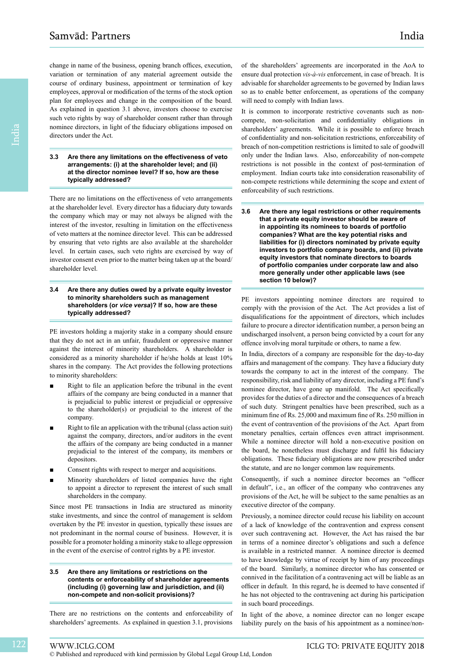change in name of the business, opening branch offices, execution, variation or termination of any material agreement outside the course of ordinary business, appointment or termination of key employees, approval or modification of the terms of the stock option plan for employees and change in the composition of the board. As explained in question 3.1 above, investors choose to exercise such veto rights by way of shareholder consent rather than through nominee directors, in light of the fiduciary obligations imposed on directors under the Act.

#### **3.3 Are there any limitations on the effectiveness of veto arrangements: (i) at the shareholder level; and (ii) at the director nominee level? If so, how are these typically addressed?**

There are no limitations on the effectiveness of veto arrangements at the shareholder level. Every director has a fiduciary duty towards the company which may or may not always be aligned with the interest of the investor, resulting in limitation on the effectiveness of veto matters at the nominee director level. This can be addressed by ensuring that veto rights are also available at the shareholder level. In certain cases, such veto rights are exercised by way of investor consent even prior to the matter being taken up at the board/ shareholder level.

#### **3.4 Are there any duties owed by a private equity investor to minority shareholders such as management shareholders (or** *vice versa***)? If so, how are these typically addressed?**

PE investors holding a majority stake in a company should ensure that they do not act in an unfair, fraudulent or oppressive manner against the interest of minority shareholders. A shareholder is considered as a minority shareholder if he/she holds at least 10% shares in the company. The Act provides the following protections to minority shareholders:

- Right to file an application before the tribunal in the event affairs of the company are being conducted in a manner that is prejudicial to public interest or prejudicial or oppressive to the shareholder(s) or prejudicial to the interest of the company.
- Right to file an application with the tribunal (class action suit) against the company, directors, and/or auditors in the event the affairs of the company are being conducted in a manner prejudicial to the interest of the company, its members or depositors.
- Consent rights with respect to merger and acquisitions.
- Minority shareholders of listed companies have the right to appoint a director to represent the interest of such small shareholders in the company.

Since most PE transactions in India are structured as minority stake investments, and since the control of management is seldom overtaken by the PE investor in question, typically these issues are not predominant in the normal course of business. However, it is possible for a promoter holding a minority stake to allege oppression in the event of the exercise of control rights by a PE investor.

#### **3.5 Are there any limitations or restrictions on the contents or enforceability of shareholder agreements (including (i) governing law and jurisdiction, and (ii) non-compete and non-solicit provisions)?**

There are no restrictions on the contents and enforceability of shareholders' agreements. As explained in question 3.1, provisions

of the shareholders' agreements are incorporated in the AoA to ensure dual protection *vis-à-vis* enforcement, in case of breach. It is advisable for shareholder agreements to be governed by Indian laws so as to enable better enforcement, as operations of the company will need to comply with Indian laws.

It is common to incorporate restrictive covenants such as noncompete, non-solicitation and confidentiality obligations in shareholders' agreements. While it is possible to enforce breach of confidentiality and non-solicitation restrictions, enforceability of breach of non-competition restrictions is limited to sale of goodwill only under the Indian laws. Also, enforceability of non-compete restrictions is not possible in the context of post-termination of employment. Indian courts take into consideration reasonability of non-compete restrictions while determining the scope and extent of enforceability of such restrictions.

PE investors appointing nominee directors are required to comply with the provision of the Act. The Act provides a list of disqualifications for the appointment of directors, which includes failure to procure a director identification number, a person being an undischarged insolvent, a person being convicted by a court for any offence involving moral turpitude or others, to name a few.

In India, directors of a company are responsible for the day-to-day affairs and management of the company. They have a fiduciary duty towards the company to act in the interest of the company. The responsibility, risk and liability of any director, including a PE fund's nominee director, have gone up manifold. The Act specifically provides for the duties of a director and the consequences of a breach of such duty. Stringent penalties have been prescribed, such as a minimum fine of Rs. 25,000 and maximum fine of Rs. 250 million in the event of contravention of the provisions of the Act. Apart from monetary penalties, certain offences even attract imprisonment. While a nominee director will hold a non-executive position on the board, he nonetheless must discharge and fulfil his fiduciary obligations. These fiduciary obligations are now prescribed under the statute, and are no longer common law requirements.

Consequently, if such a nominee director becomes an "officer in default", i.e., an officer of the company who contravenes any provisions of the Act, he will be subject to the same penalties as an executive director of the company.

Previously, a nominee director could recuse his liability on account of a lack of knowledge of the contravention and express consent over such contravening act. However, the Act has raised the bar in terms of a nominee director's obligations and such a defence is available in a restricted manner. A nominee director is deemed to have knowledge by virtue of receipt by him of any proceedings of the board. Similarly, a nominee director who has consented or connived in the facilitation of a contravening act will be liable as an officer in default. In this regard, he is deemed to have consented if he has not objected to the contravening act during his participation in such board proceedings.

In light of the above, a nominee director can no longer escape liability purely on the basis of his appointment as a nominee/non-

**<sup>3.6</sup> Are there any legal restrictions or other requirements that a private equity investor should be aware of in appointing its nominees to boards of portfolio companies? What are the key potential risks and liabilities for (i) directors nominated by private equity investors to portfolio company boards, and (ii) private equity investors that nominate directors to boards of portfolio companies under corporate law and also more generally under other applicable laws (see section 10 below)?**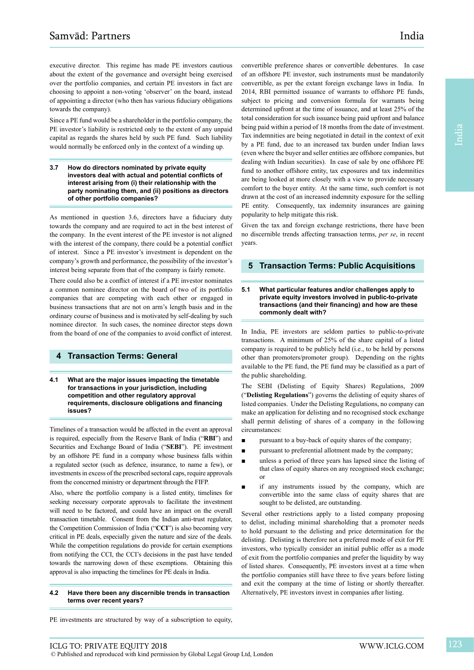executive director. This regime has made PE investors cautious about the extent of the governance and oversight being exercised over the portfolio companies, and certain PE investors in fact are choosing to appoint a non-voting 'observer' on the board, instead of appointing a director (who then has various fiduciary obligations towards the company).

Since a PE fund would be a shareholder in the portfolio company, the PE investor's liability is restricted only to the extent of any unpaid capital as regards the shares held by such PE fund. Such liability would normally be enforced only in the context of a winding up.

**3.7 How do directors nominated by private equity investors deal with actual and potential conflicts of interest arising from (i) their relationship with the party nominating them, and (ii) positions as directors of other portfolio companies?**

As mentioned in question 3.6, directors have a fiduciary duty towards the company and are required to act in the best interest of the company. In the event interest of the PE investor is not aligned with the interest of the company, there could be a potential conflict of interest. Since a PE investor's investment is dependent on the company's growth and performance, the possibility of the investor's interest being separate from that of the company is fairly remote.

There could also be a conflict of interest if a PE investor nominates a common nominee director on the board of two of its portfolio companies that are competing with each other or engaged in business transactions that are not on arm's length basis and in the ordinary course of business and is motivated by self-dealing by such nominee director. In such cases, the nominee director steps down from the board of one of the companies to avoid conflict of interest.

## **4 Transaction Terms: General**

**4.1 What are the major issues impacting the timetable for transactions in your jurisdiction, including competition and other regulatory approval requirements, disclosure obligations and financing issues?**

Timelines of a transaction would be affected in the event an approval is required, especially from the Reserve Bank of India ("**RBI**") and Securities and Exchange Board of India ("**SEBI**"). PE investment by an offshore PE fund in a company whose business falls within a regulated sector (such as defence, insurance, to name a few), or investments in excess of the prescribed sectoral caps, require approvals from the concerned ministry or department through the FIFP.

Also, where the portfolio company is a listed entity, timelines for seeking necessary corporate approvals to facilitate the investment will need to be factored, and could have an impact on the overall transaction timetable. Consent from the Indian anti-trust regulator, the Competition Commission of India ("**CCI**") is also becoming very critical in PE deals, especially given the nature and size of the deals. While the competition regulations do provide for certain exemptions from notifying the CCI, the CCI's decisions in the past have tended towards the narrowing down of these exemptions. Obtaining this approval is also impacting the timelines for PE deals in India.

#### **4.2 Have there been any discernible trends in transaction terms over recent years?**

PE investments are structured by way of a subscription to equity,

convertible preference shares or convertible debentures. In case of an offshore PE investor, such instruments must be mandatorily convertible, as per the extant foreign exchange laws in India. In 2014, RBI permitted issuance of warrants to offshore PE funds, subject to pricing and conversion formula for warrants being determined upfront at the time of issuance, and at least 25% of the total consideration for such issuance being paid upfront and balance being paid within a period of 18 months from the date of investment. Tax indemnities are being negotiated in detail in the context of exit by a PE fund, due to an increased tax burden under Indian laws (even where the buyer and seller entities are offshore companies, but dealing with Indian securities). In case of sale by one offshore PE fund to another offshore entity, tax exposures and tax indemnities are being looked at more closely with a view to provide necessary comfort to the buyer entity. At the same time, such comfort is not drawn at the cost of an increased indemnity exposure for the selling PE entity. Consequently, tax indemnity insurances are gaining

Given the tax and foreign exchange restrictions, there have been no discernible trends affecting transaction terms, *per se*, in recent years.

popularity to help mitigate this risk.

#### **5 Transaction Terms: Public Acquisitions**

#### **5.1 What particular features and/or challenges apply to private equity investors involved in public-to-private transactions (and their financing) and how are these commonly dealt with?**

In India, PE investors are seldom parties to public-to-private transactions. A minimum of 25% of the share capital of a listed company is required to be publicly held (i.e., to be held by persons other than promoters/promoter group). Depending on the rights available to the PE fund, the PE fund may be classified as a part of the public shareholding.

The SEBI (Delisting of Equity Shares) Regulations, 2009 ("**Delisting Regulations**") governs the delisting of equity shares of listed companies. Under the Delisting Regulations, no company can make an application for delisting and no recognised stock exchange shall permit delisting of shares of a company in the following circumstances:

- pursuant to a buy-back of equity shares of the company;
- pursuant to preferential allotment made by the company;
- unless a period of three years has lapsed since the listing of that class of equity shares on any recognised stock exchange; or
- if any instruments issued by the company, which are convertible into the same class of equity shares that are sought to be delisted, are outstanding.

Several other restrictions apply to a listed company proposing to delist, including minimal shareholding that a promoter needs to hold pursuant to the delisting and price determination for the delisting. Delisting is therefore not a preferred mode of exit for PE investors, who typically consider an initial public offer as a mode of exit from the portfolio companies and prefer the liquidity by way of listed shares. Consequently, PE investors invest at a time when the portfolio companies still have three to five years before listing and exit the company at the time of listing or shortly thereafter. Alternatively, PE investors invest in companies after listing.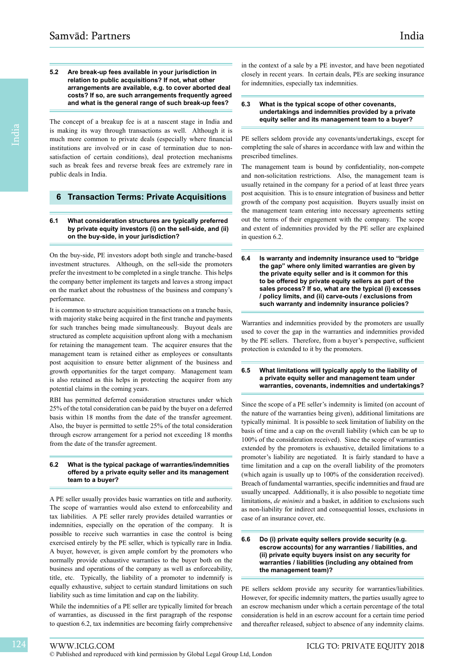#### **5.2 Are break-up fees available in your jurisdiction in relation to public acquisitions? If not, what other arrangements are available, e.g. to cover aborted deal costs? If so, are such arrangements frequently agreed and what is the general range of such break-up fees?**

The concept of a breakup fee is at a nascent stage in India and is making its way through transactions as well. Although it is much more common to private deals (especially where financial institutions are involved or in case of termination due to nonsatisfaction of certain conditions), deal protection mechanisms such as break fees and reverse break fees are extremely rare in public deals in India.

#### **6 Transaction Terms: Private Acquisitions**

#### **6.1 What consideration structures are typically preferred by private equity investors (i) on the sell-side, and (ii) on the buy-side, in your jurisdiction?**

On the buy-side, PE investors adopt both single and tranche-based investment structures. Although, on the sell-side the promoters prefer the investment to be completed in a single tranche. This helps the company better implement its targets and leaves a strong impact on the market about the robustness of the business and company's performance.

It is common to structure acquisition transactions on a tranche basis, with majority stake being acquired in the first tranche and payments for such tranches being made simultaneously. Buyout deals are structured as complete acquisition upfront along with a mechanism for retaining the management team. The acquirer ensures that the management team is retained either as employees or consultants post acquisition to ensure better alignment of the business and growth opportunities for the target company. Management team is also retained as this helps in protecting the acquirer from any potential claims in the coming years.

RBI has permitted deferred consideration structures under which 25% of the total consideration can be paid by the buyer on a deferred basis within 18 months from the date of the transfer agreement. Also, the buyer is permitted to settle 25% of the total consideration through escrow arrangement for a period not exceeding 18 months from the date of the transfer agreement.

#### **6.2 What is the typical package of warranties/indemnities offered by a private equity seller and its management team to a buyer?**

A PE seller usually provides basic warranties on title and authority. The scope of warranties would also extend to enforceability and tax liabilities. A PE seller rarely provides detailed warranties or indemnities, especially on the operation of the company. It is possible to receive such warranties in case the control is being exercised entirely by the PE seller, which is typically rare in India. A buyer, however, is given ample comfort by the promoters who normally provide exhaustive warranties to the buyer both on the business and operations of the company as well as enforceability, title, etc. Typically, the liability of a promoter to indemnify is equally exhaustive, subject to certain standard limitations on such liability such as time limitation and cap on the liability.

While the indemnities of a PE seller are typically limited for breach of warranties, as discussed in the first paragraph of the response to question 6.2, tax indemnities are becoming fairly comprehensive in the context of a sale by a PE investor, and have been negotiated closely in recent years. In certain deals, PEs are seeking insurance for indemnities, especially tax indemnities.

#### **6.3 What is the typical scope of other covenants, undertakings and indemnities provided by a private equity seller and its management team to a buyer?**

PE sellers seldom provide any covenants/undertakings, except for completing the sale of shares in accordance with law and within the prescribed timelines.

The management team is bound by confidentiality, non-compete and non-solicitation restrictions. Also, the management team is usually retained in the company for a period of at least three years post acquisition. This is to ensure integration of business and better growth of the company post acquisition. Buyers usually insist on the management team entering into necessary agreements setting out the terms of their engagement with the company. The scope and extent of indemnities provided by the PE seller are explained in question 6.2.

**6.4 Is warranty and indemnity insurance used to "bridge the gap" where only limited warranties are given by the private equity seller and is it common for this to be offered by private equity sellers as part of the sales process? If so, what are the typical (i) excesses / policy limits, and (ii) carve-outs / exclusions from such warranty and indemnity insurance policies?**

Warranties and indemnities provided by the promoters are usually used to cover the gap in the warranties and indemnities provided by the PE sellers. Therefore, from a buyer's perspective, sufficient protection is extended to it by the promoters.

#### **6.5 What limitations will typically apply to the liability of a private equity seller and management team under warranties, covenants, indemnities and undertakings?**

Since the scope of a PE seller's indemnity is limited (on account of the nature of the warranties being given), additional limitations are typically minimal. It is possible to seek limitation of liability on the basis of time and a cap on the overall liability (which can be up to 100% of the consideration received). Since the scope of warranties extended by the promoters is exhaustive, detailed limitations to a promoter's liability are negotiated. It is fairly standard to have a time limitation and a cap on the overall liability of the promoters (which again is usually up to 100% of the consideration received). Breach of fundamental warranties, specific indemnities and fraud are usually uncapped. Additionally, it is also possible to negotiate time limitations, *de minimis* and a basket, in addition to exclusions such as non-liability for indirect and consequential losses, exclusions in case of an insurance cover, etc.

#### **6.6 Do (i) private equity sellers provide security (e.g. escrow accounts) for any warranties / liabilities, and (ii) private equity buyers insist on any security for warranties / liabilities (including any obtained from the management team)?**

PE sellers seldom provide any security for warranties/liabilities. However, for specific indemnity matters, the parties usually agree to an escrow mechanism under which a certain percentage of the total consideration is held in an escrow account for a certain time period and thereafter released, subject to absence of any indemnity claims.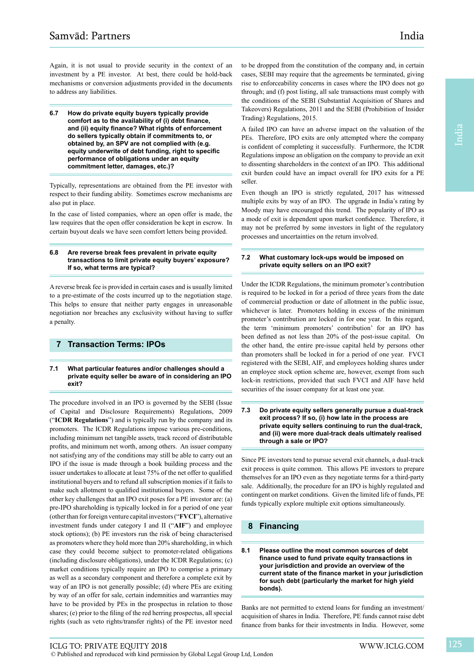Again, it is not usual to provide security in the context of an investment by a PE investor. At best, there could be hold-back mechanisms or conversion adjustments provided in the documents to address any liabilities.

**6.7 How do private equity buyers typically provide comfort as to the availability of (i) debt finance, and (ii) equity finance? What rights of enforcement do sellers typically obtain if commitments to, or obtained by, an SPV are not complied with (e.g. equity underwrite of debt funding, right to specific performance of obligations under an equity commitment letter, damages, etc.)?**

Typically, representations are obtained from the PE investor with respect to their funding ability. Sometimes escrow mechanisms are also put in place.

In the case of listed companies, where an open offer is made, the law requires that the open offer consideration be kept in escrow. In certain buyout deals we have seen comfort letters being provided.

#### **6.8 Are reverse break fees prevalent in private equity transactions to limit private equity buyers' exposure? If so, what terms are typical?**

A reverse break fee is provided in certain cases and is usually limited to a pre-estimate of the costs incurred up to the negotiation stage. This helps to ensure that neither party engages in unreasonable negotiation nor breaches any exclusivity without having to suffer a penalty.

## **7 Transaction Terms: IPOs**

#### **7.1 What particular features and/or challenges should a private equity seller be aware of in considering an IPO exit?**

The procedure involved in an IPO is governed by the SEBI (Issue of Capital and Disclosure Requirements) Regulations, 2009 ("**ICDR Regulations**") and is typically run by the company and its promoters. The ICDR Regulations impose various pre-conditions, including minimum net tangible assets, track record of distributable profits, and minimum net worth, among others. An issuer company not satisfying any of the conditions may still be able to carry out an IPO if the issue is made through a book building process and the issuer undertakes to allocate at least 75% of the net offer to qualified institutional buyers and to refund all subscription monies if it fails to make such allotment to qualified institutional buyers. Some of the other key challenges that an IPO exit poses for a PE investor are: (a) pre-IPO shareholding is typically locked in for a period of one year (other than for foreign venture capital investors ("**FVCI**"), alternative investment funds under category I and II ("**AIF**") and employee stock options); (b) PE investors run the risk of being characterised as promoters where they hold more than 20% shareholding, in which case they could become subject to promoter-related obligations (including disclosure obligations), under the ICDR Regulations; (c) market conditions typically require an IPO to comprise a primary as well as a secondary component and therefore a complete exit by way of an IPO is not generally possible; (d) where PEs are exiting by way of an offer for sale, certain indemnities and warranties may have to be provided by PEs in the prospectus in relation to those shares; (e) prior to the filing of the red herring prospectus, all special rights (such as veto rights/transfer rights) of the PE investor need to be dropped from the constitution of the company and, in certain cases, SEBI may require that the agreements be terminated, giving rise to enforceability concerns in cases where the IPO does not go through; and (f) post listing, all sale transactions must comply with the conditions of the SEBI (Substantial Acquisition of Shares and Takeovers) Regulations, 2011 and the SEBI (Prohibition of Insider Trading) Regulations, 2015.

A failed IPO can have an adverse impact on the valuation of the PEs. Therefore, IPO exits are only attempted where the company is confident of completing it successfully. Furthermore, the ICDR Regulations impose an obligation on the company to provide an exit to dissenting shareholders in the context of an IPO. This additional exit burden could have an impact overall for IPO exits for a PE seller.

Even though an IPO is strictly regulated, 2017 has witnessed multiple exits by way of an IPO. The upgrade in India's rating by Moody may have encouraged this trend. The popularity of IPO as a mode of exit is dependent upon market confidence. Therefore, it may not be preferred by some investors in light of the regulatory processes and uncertainties on the return involved.

#### **7.2 What customary lock-ups would be imposed on private equity sellers on an IPO exit?**

Under the ICDR Regulations, the minimum promoter's contribution is required to be locked in for a period of three years from the date of commercial production or date of allotment in the public issue, whichever is later. Promoters holding in excess of the minimum promoter's contribution are locked in for one year. In this regard, the term 'minimum promoters' contribution' for an IPO has been defined as not less than 20% of the post-issue capital. On the other hand, the entire pre-issue capital held by persons other than promoters shall be locked in for a period of one year. FVCI registered with the SEBI, AIF, and employees holding shares under an employee stock option scheme are, however, exempt from such lock-in restrictions, provided that such FVCI and AIF have held securities of the issuer company for at least one year.

#### **7.3 Do private equity sellers generally pursue a dual-track exit process? If so, (i) how late in the process are private equity sellers continuing to run the dual-track, and (ii) were more dual-track deals ultimately realised through a sale or IPO?**

Since PE investors tend to pursue several exit channels, a dual-track exit process is quite common. This allows PE investors to prepare themselves for an IPO even as they negotiate terms for a third-party sale. Additionally, the procedure for an IPO is highly regulated and contingent on market conditions. Given the limited life of funds, PE funds typically explore multiple exit options simultaneously.

## **8 Financing**

**8.1 Please outline the most common sources of debt finance used to fund private equity transactions in your jurisdiction and provide an overview of the current state of the finance market in your jurisdiction for such debt (particularly the market for high yield bonds).**

Banks are not permitted to extend loans for funding an investment/ acquisition of shares in India. Therefore, PE funds cannot raise debt finance from banks for their investments in India. However, some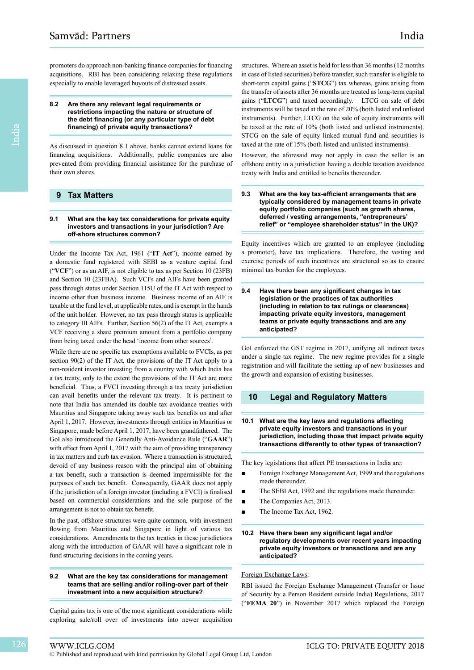promoters do approach non-banking finance companies for financing acquisitions. RBI has been considering relaxing these regulations especially to enable leveraged buyouts of distressed assets.

#### **8.2 Are there any relevant legal requirements or restrictions impacting the nature or structure of the debt financing (or any particular type of debt financing) of private equity transactions?**

As discussed in question 8.1 above, banks cannot extend loans for financing acquisitions. Additionally, public companies are also prevented from providing financial assistance for the purchase of their own shares.

## **9 Tax Matters**

#### **9.1 What are the key tax considerations for private equity investors and transactions in your jurisdiction? Are off-shore structures common?**

Under the Income Tax Act, 1961 ("**IT Act**"), income earned by a domestic fund registered with SEBI as a venture capital fund ("**VCF**") or as an AIF, is not eligible to tax as per Section 10 (23FB) and Section 10 (23FBA). Such VCFs and AIFs have been granted pass through status under Section 115U of the IT Act with respect to income other than business income. Business income of an AIF is taxable at the fund level, at applicable rates, and is exempt in the hands of the unit holder. However, no tax pass through status is applicable to category III AIFs. Further, Section 56(2) of the IT Act, exempts a VCF receiving a share premium amount from a portfolio company from being taxed under the head 'income from other sources'.

While there are no specific tax exemptions available to FVCIs, as per section 90(2) of the IT Act, the provisions of the IT Act apply to a non-resident investor investing from a country with which India has a tax treaty, only to the extent the provisions of the IT Act are more beneficial. Thus, a FVCI investing through a tax treaty jurisdiction can avail benefits under the relevant tax treaty. It is pertinent to note that India has amended its double tax avoidance treaties with Mauritius and Singapore taking away such tax benefits on and after April 1, 2017. However, investments through entities in Mauritius or Singapore, made before April 1, 2017, have been grandfathered. The GoI also introduced the Generally Anti-Avoidance Rule ("**GAAR**") with effect from April 1, 2017 with the aim of providing transparency in tax matters and curb tax evasion. Where a transaction is structured, devoid of any business reason with the principal aim of obtaining a tax benefit, such a transaction is deemed impermissible for the purposes of such tax benefit. Consequently, GAAR does not apply if the jurisdiction of a foreign investor (including a FVCI) is finalised based on commercial considerations and the sole purpose of the arrangement is not to obtain tax benefit.

In the past, offshore structures were quite common, with investment flowing from Mauritius and Singapore in light of various tax considerations. Amendments to the tax treaties in these jurisdictions along with the introduction of GAAR will have a significant role in fund structuring decisions in the coming years.

#### **9.2 What are the key tax considerations for management teams that are selling and/or rolling-over part of their investment into a new acquisition structure?**

Capital gains tax is one of the most significant considerations while exploring sale/roll over of investments into newer acquisition

structures. Where an asset is held for less than 36 months (12 months in case of listed securities) before transfer, such transfer is eligible to short-term capital gains ("**STCG**") tax whereas, gains arising from the transfer of assets after 36 months are treated as long-term capital gains ("**LTCG**") and taxed accordingly. LTCG on sale of debt instruments will be taxed at the rate of 20% (both listed and unlisted instruments). Further, LTCG on the sale of equity instruments will be taxed at the rate of 10% (both listed and unlisted instruments). STCG on the sale of equity linked mutual fund and securities is taxed at the rate of 15% (both listed and unlisted instruments).

However, the aforesaid may not apply in case the seller is an offshore entity in a jurisdiction having a double taxation avoidance treaty with India and entitled to benefits thereunder.

**9.3 What are the key tax-efficient arrangements that are typically considered by management teams in private equity portfolio companies (such as growth shares, deferred / vesting arrangements, "entrepreneurs' relief" or "employee shareholder status" in the UK)?**

Equity incentives which are granted to an employee (including a promoter), have tax implications. Therefore, the vesting and exercise periods of such incentives are structured so as to ensure minimal tax burden for the employees.

| 9.4 | Have there been any significant changes in tax       |
|-----|------------------------------------------------------|
|     | legislation or the practices of tax authorities      |
|     | (including in relation to tax rulings or clearances) |
|     | impacting private equity investors, management       |
|     | teams or private equity transactions and are any     |
|     | anticipated?                                         |

GoI enforced the GST regime in 2017, unifying all indirect taxes under a single tax regime. The new regime provides for a single registration and will facilitate the setting up of new businesses and the growth and expansion of existing businesses.

### **10 Legal and Regulatory Matters**

**10.1 What are the key laws and regulations affecting private equity investors and transactions in your jurisdiction, including those that impact private equity transactions differently to other types of transaction?**

The key legislations that affect PE transactions in India are:

- Foreign Exchange Management Act, 1999 and the regulations made thereunder.
- The SEBI Act, 1992 and the regulations made thereunder.
- The Companies Act, 2013.
- The Income Tax Act, 1962.
- **10.2 Have there been any significant legal and/or regulatory developments over recent years impacting private equity investors or transactions and are any anticipated?**

#### Foreign Exchange Laws:

RBI issued the Foreign Exchange Management (Transfer or Issue of Security by a Person Resident outside India) Regulations, 2017 ("**FEMA 20**") in November 2017 which replaced the Foreign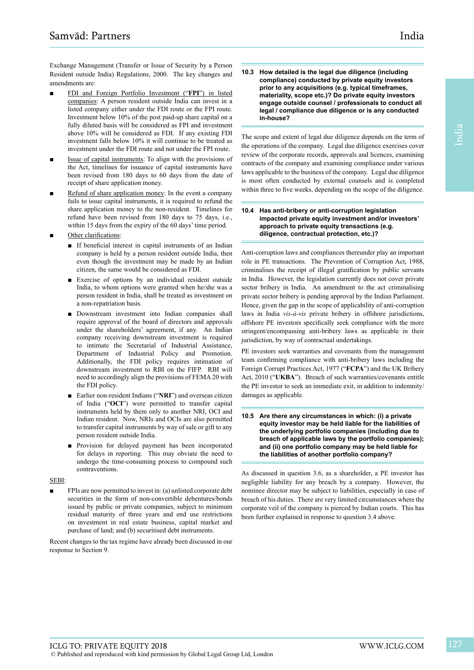Exchange Management (Transfer or Issue of Security by a Person Resident outside India) Regulations, 2000. The key changes and amendments are:

- FDI and Foreign Portfolio Investment ("FPI") in listed companies: A person resident outside India can invest in a listed company either under the FDI route or the FPI route. Investment below 10% of the post paid-up share capital on a fully diluted basis will be considered as FPI and investment above 10% will be considered as FDI. If any existing FDI investment falls below 10% it will continue to be treated as investment under the FDI route and not under the FPI route.
- Issue of capital instruments: To align with the provisions of the Act, timelines for issuance of capital instruments have been revised from 180 days to 60 days from the date of receipt of share application money.
- Refund of share application money: In the event a company fails to issue capital instruments, it is required to refund the share application money to the non-resident. Timelines for refund have been revised from 180 days to 75 days, i.e., within 15 days from the expiry of the 60 days' time period.
- Other clarifications:
	- If beneficial interest in capital instruments of an Indian company is held by a person resident outside India, then even though the investment may be made by an Indian citizen, the same would be considered as FDI.
	- Exercise of options by an individual resident outside India, to whom options were granted when he/she was a person resident in India, shall be treated as investment on a non-repatriation basis.
	- Downstream investment into Indian companies shall require approval of the board of directors and approvals under the shareholders' agreement, if any. An Indian company receiving downstream investment is required to intimate the Secretarial of Industrial Assistance, Department of Industrial Policy and Promotion. Additionally, the FDI policy requires intimation of downstream investment to RBI on the FIFP. RBI will need to accordingly align the provisions of FEMA 20 with the FDI policy.
	- Earlier non-resident Indians ("NRI") and overseas citizen of India ("**OCI**") were permitted to transfer capital instruments held by them only to another NRI, OCI and Indian resident. Now, NRIs and OCIs are also permitted to transfer capital instruments by way of sale or gift to any person resident outside India.
	- Provision for delayed payment has been incorporated for delays in reporting. This may obviate the need to undergo the time-consuming process to compound such contraventions.

SEBI:

FPIs are now permitted to invest in: (a) unlisted corporate debt securities in the form of non-convertible debentures/bonds issued by public or private companies, subject to minimum residual maturity of three years and end use restrictions on investment in real estate business, capital market and purchase of land; and (b) securitised debt instruments.

Recent changes to the tax regime have already been discussed in our response to Section 9.

#### **10.3 How detailed is the legal due diligence (including compliance) conducted by private equity investors prior to any acquisitions (e.g. typical timeframes, materiality, scope etc.)? Do private equity investors engage outside counsel / professionals to conduct all legal / compliance due diligence or is any conducted in-house?**

The scope and extent of legal due diligence depends on the term of the operations of the company. Legal due diligence exercises cover review of the corporate records, approvals and licences, examining contracts of the company and examining compliance under various laws applicable to the business of the company. Legal due diligence is most often conducted by external counsels and is completed within three to five weeks, depending on the scope of the diligence.

#### **10.4 Has anti-bribery or anti-corruption legislation impacted private equity investment and/or investors' approach to private equity transactions (e.g. diligence, contractual protection, etc.)?**

Anti-corruption laws and compliances thereunder play an important role in PE transactions. The Prevention of Corruption Act, 1988, criminalises the receipt of illegal gratification by public servants in India. However, the legislation currently does not cover private sector bribery in India. An amendment to the act criminalising private sector bribery is pending approval by the Indian Parliament. Hence, given the gap in the scope of applicability of anti-corruption laws in India *vis-à-vis* private bribery in offshore jurisdictions, offshore PE investors specifically seek compliance with the more stringent/encompassing anti-bribery laws as applicable in their jurisdiction, by way of contractual undertakings.

PE investors seek warranties and covenants from the management team confirming compliance with anti-bribery laws including the Foreign Corrupt Practices Act, 1977 ("**FCPA**") and the UK Bribery Act, 2010 ("**UKBA**"). Breach of such warranties/covenants entitle the PE investor to seek an immediate exit, in addition to indemnity/ damages as applicable.

**10.5 Are there any circumstances in which: (i) a private equity investor may be held liable for the liabilities of the underlying portfolio companies (including due to breach of applicable laws by the portfolio companies); and (ii) one portfolio company may be held liable for the liabilities of another portfolio company?**

As discussed in question 3.6, as a shareholder, a PE investor has negligible liability for any breach by a company. However, the nominee director may be subject to liabilities, especially in case of breach of his duties. There are very limited circumstances where the corporate veil of the company is pierced by Indian courts. This has been further explained in response to question 3.4 above.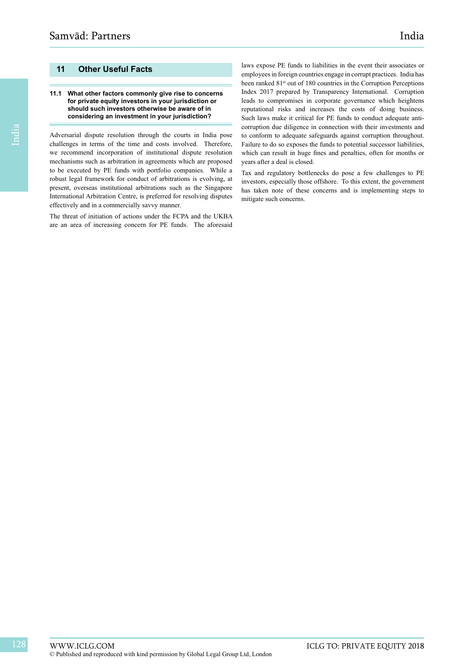#### **11 Other Useful Facts**

#### **11.1 What other factors commonly give rise to concerns for private equity investors in your jurisdiction or should such investors otherwise be aware of in considering an investment in your jurisdiction?**

Adversarial dispute resolution through the courts in India pose challenges in terms of the time and costs involved. Therefore, we recommend incorporation of institutional dispute resolution mechanisms such as arbitration in agreements which are proposed to be executed by PE funds with portfolio companies. While a robust legal framework for conduct of arbitrations is evolving, at present, overseas institutional arbitrations such as the Singapore International Arbitration Centre, is preferred for resolving disputes effectively and in a commercially savvy manner.

The threat of initiation of actions under the FCPA and the UKBA are an area of increasing concern for PE funds. The aforesaid

laws expose PE funds to liabilities in the event their associates or employees in foreign countries engage in corrupt practices. India has been ranked 81<sup>st</sup> out of 180 countries in the Corruption Perceptions Index 2017 prepared by Transparency International. Corruption leads to compromises in corporate governance which heightens reputational risks and increases the costs of doing business. Such laws make it critical for PE funds to conduct adequate anticorruption due diligence in connection with their investments and to conform to adequate safeguards against corruption throughout. Failure to do so exposes the funds to potential successor liabilities, which can result in huge fines and penalties, often for months or years after a deal is closed.

Tax and regulatory bottlenecks do pose a few challenges to PE investors, especially those offshore. To this extent, the government has taken note of these concerns and is implementing steps to mitigate such concerns.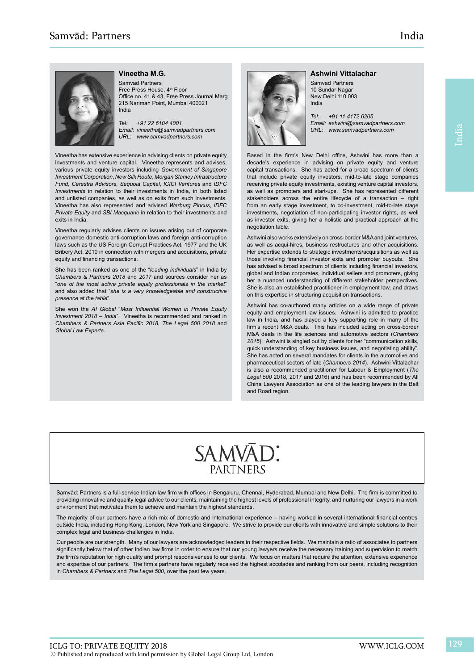

#### **Vineetha M.G.**

Samvad Partners Free Press House, 4<sup>th</sup> Floor Office no. 41 & 43, Free Press Journal Marg 215 Nariman Point, Mumbai 400021 India

*Tel: +91 22 6104 4001 Email: vineetha@samvadpartners.com URL: www.samvadpartners.com*

Vineetha has extensive experience in advising clients on private equity investments and venture capital. Vineetha represents and advises, various private equity investors including *Government of Singapore Investment Corporation*, *New Silk Route*, *Morgan Stanley Infrastructure Fund*, *Cerestra Advisors*, *Sequoia Capital*, *ICICI Ventures* and *IDFC Investments* in relation to their investments in India, in both listed and unlisted companies, as well as on exits from such investments. Vineetha has also represented and advised *Warburg Pincus*, *IDFC Private Equity* and *SBI Macquarie* in relation to their investments and exits in India.

Vineetha regularly advises clients on issues arising out of corporate governance domestic anti-corruption laws and foreign anti-corruption laws such as the US Foreign Corrupt Practices Act, 1977 and the UK Bribery Act, 2010 in connection with mergers and acquisitions, private equity and financing transactions.

She has been ranked as one of the "*leading individuals*" in India by *Chambers & Partners 2018* and *2017* and sources consider her as "*one of the most active private equity professionals in the market*" and also added that "*she is a very knowledgeable and constructive presence at the table*".

She won the *AI Global* "*Most Influential Women in Private Equity Investment 2018 – India*". Vineetha is recommended and ranked in *Chambers & Partners Asia Pacific 2018*, *The Legal 500 2018* and *Global Law Experts*.



## **Ashwini Vittalachar**

Samvad Partners 10 Sundar Nagar New Delhi 110 003 India

*Tel: +91 11 4172 6205 Email: ashwini@samvadpartners.com URL: www.samvadpartners.com*

Based in the firm's New Delhi office, Ashwini has more than a decade's experience in advising on private equity and venture capital transactions. She has acted for a broad spectrum of clients that include private equity investors, mid-to-late stage companies receiving private equity investments, existing venture capital investors, as well as promoters and start-ups. She has represented different stakeholders across the entire lifecycle of a transaction – right from an early stage investment, to co-investment, mid-to-late stage investments, negotiation of non-participating investor rights, as well as investor exits, giving her a holistic and practical approach at the negotiation table.

Ashwini also works extensively on cross-border M&A and joint ventures, as well as acqui-hires, business restructures and other acquisitions. Her expertise extends to strategic investments/acquisitions as well as those involving financial investor exits and promoter buyouts. She has advised a broad spectrum of clients including financial investors, global and Indian corporates, individual sellers and promoters, giving her a nuanced understanding of different stakeholder perspectives. She is also an established practitioner in employment law, and draws on this expertise in structuring acquisition transactions.

Ashwini has co-authored many articles on a wide range of private equity and employment law issues. Ashwini is admitted to practice law in India, and has played a key supporting role in many of the firm's recent M&A deals. This has included acting on cross-border M&A deals in the life sciences and automotive sectors (*Chambers 2015*). Ashwini is singled out by clients for her "communication skills, quick understanding of key business issues, and negotiating ability". She has acted on several mandates for clients in the automotive and pharmaceutical sectors of late (*Chambers 2014*). Ashwini Vittalachar is also a recommended practitioner for Labour & Employment (*The Legal 500* 2018, 2017 and 2016) and has been recommended by All China Lawyers Association as one of the leading lawyers in the Belt and Road region.



Samvād: Partners is a full-service Indian law firm with offices in Bengaluru, Chennai, Hyderabad, Mumbai and New Delhi. The firm is committed to providing innovative and quality legal advice to our clients, maintaining the highest levels of professional integrity, and nurturing our lawyers in a work environment that motivates them to achieve and maintain the highest standards.

The majority of our partners have a rich mix of domestic and international experience – having worked in several international financial centres outside India, including Hong Kong, London, New York and Singapore. We strive to provide our clients with innovative and simple solutions to their complex legal and business challenges in India.

Our people are our strength. Many of our lawyers are acknowledged leaders in their respective fields. We maintain a ratio of associates to partners significantly below that of other Indian law firms in order to ensure that our young lawyers receive the necessary training and supervision to match the firm's reputation for high quality and prompt responsiveness to our clients. We focus on matters that require the attention, extensive experience and expertise of our partners. The firm's partners have regularly received the highest accolades and ranking from our peers, including recognition in *Chambers & Partners* and *The Legal 500*, over the past few years.